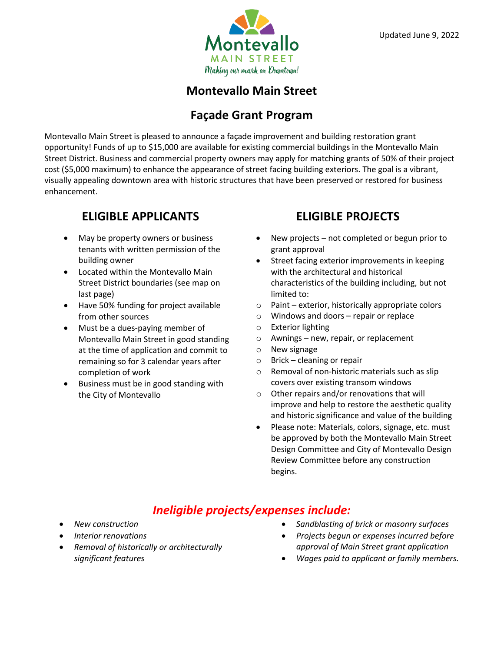

## **Montevallo Main Street**

#### **Façade Grant Program**

Montevallo Main Street is pleased to announce a façade improvement and building restoration grant opportunity! Funds of up to \$15,000 are available for existing commercial buildings in the Montevallo Main Street District. Business and commercial property owners may apply for matching grants of 50% of their project cost (\$5,000 maximum) to enhance the appearance of street facing building exteriors. The goal is a vibrant, visually appealing downtown area with historic structures that have been preserved or restored for business enhancement.

## **ELIGIBLE APPLICANTS**

- May be property owners or business tenants with written permission of the building owner
- Located within the Montevallo Main Street District boundaries (see map on last page)
- Have 50% funding for project available from other sources
- Must be a dues-paying member of Montevallo Main Street in good standing at the time of application and commit to remaining so for 3 calendar years after completion of work
- Business must be in good standing with the City of Montevallo

## **ELIGIBLE PROJECTS**

- New projects not completed or begun prior to grant approval
- Street facing exterior improvements in keeping with the architectural and historical characteristics of the building including, but not limited to:
- $\circ$  Paint exterior, historically appropriate colors
- o Windows and doors repair or replace
- o Exterior lighting
- o Awnings new, repair, or replacement
- o New signage
- $\circ$  Brick cleaning or repair
- o Removal of non-historic materials such as slip covers over existing transom windows
- o Other repairs and/or renovations that will improve and help to restore the aesthetic quality and historic significance and value of the building
- Please note: Materials, colors, signage, etc. must be approved by both the Montevallo Main Street Design Committee and City of Montevallo Design Review Committee before any construction begins.

## *Ineligible projects/expenses include:*

- *New construction*
- *Interior renovations*
- *Removal of historically or architecturally significant features*
- *Sandblasting of brick or masonry surfaces*
- *Projects begun or expenses incurred before approval of Main Street grant application*
- *Wages paid to applicant or family members.*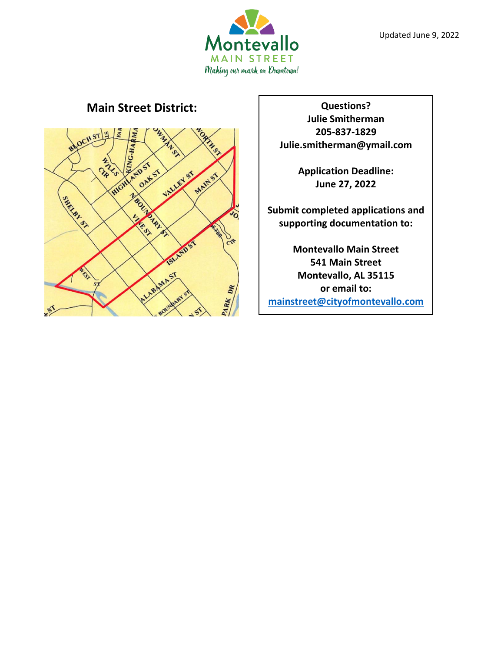

#### **Main Street District: CONSIDER ALL: Questions?**



**Julie Smitherman 205-837-1829 Julie.smitherman@ymail.com**

> **Application Deadline: June 27, 2022**

**Submit completed applications and supporting documentation to:**

**Montevallo Main Street 541 Main Street Montevallo, AL 35115 or email to: [mainstreet@cityofmontevallo.com](mailto:mainstreet@cityofmontevallo.com)**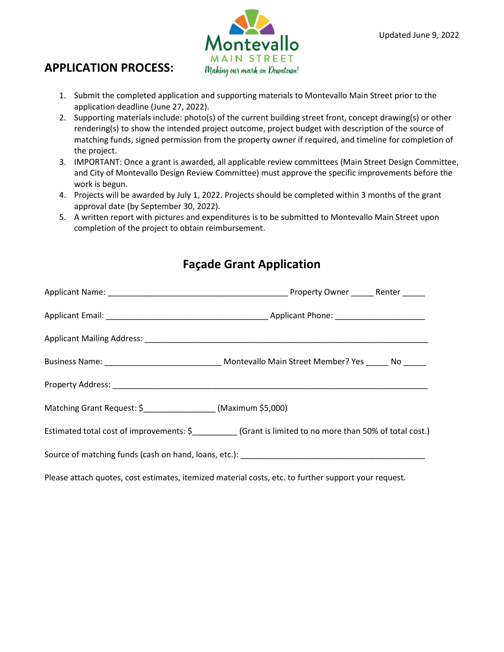

#### **APPLICATION PROCESS:**

- 1. Submit the completed application and supporting materials to Montevallo Main Street prior to the application deadline (June 27, 2022).
- 2. Supporting materials include: photo(s) of the current building street front, concept drawing(s) or other rendering(s) to show the intended project outcome, project budget with description of the source of matching funds, signed permission from the property owner if required, and timeline for completion of the project.
- 3. IMPORTANT: Once a grant is awarded, all applicable review committees (Main Street Design Committee, and City of Montevallo Design Review Committee) must approve the specific improvements before the work is begun.
- 4. Projects will be awarded by July 1, 2022. Projects should be completed within 3 months of the grant approval date (by September 30, 2022).
- 5. A written report with pictures and expenditures is to be submitted to Montevallo Main Street upon completion of the project to obtain reimbursement.

|                                                                 | Business Name: __________________________________ Montevallo Main Street Member? Yes ______ No _____ |
|-----------------------------------------------------------------|------------------------------------------------------------------------------------------------------|
|                                                                 |                                                                                                      |
| Matching Grant Request: \$___________________ (Maximum \$5,000) |                                                                                                      |
|                                                                 | Estimated total cost of improvements: \$ (Grant is limited to no more than 50% of total cost.)       |
|                                                                 | Source of matching funds (cash on hand, loans, etc.): ___________________________                    |
|                                                                 |                                                                                                      |

Please attach quotes, cost estimates, itemized material costs, etc. to further support your request.

# **Façade Grant Application**